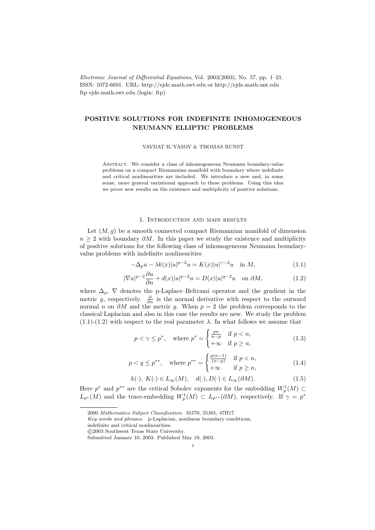Electronic Journal of Differential Equations, Vol. 2003(2003), No. 57, pp. 1–21. ISSN: 1072-6691. URL: http://ejde.math.swt.edu or http://ejde.math.unt.edu ftp ejde.math.swt.edu (login: ftp)

# POSITIVE SOLUTIONS FOR INDEFINITE INHOMOGENEOUS NEUMANN ELLIPTIC PROBLEMS

YAVDAT IL'YASOV & THOMAS RUNST

Abstract. We consider a class of inhomogeneous Neumann boundary-value problems on a compact Riemannian manifold with boundary where indefinite and critical nonlinearities are included. We introduce a new and, in some sense, more general variational approach to these problems. Using this idea we prove new results on the existence and multiplicity of positive solutions.

### 1. Introduction and main results

Let  $(M, g)$  be a smooth connected compact Riemannian manifold of dimension  $n \geq 2$  with boundary  $\partial M$ . In this paper we study the existence and multiplicity of positive solutions for the following class of inhomogeneous Neumann boundaryvalue problems with indefinite nonlinearities

$$
-\Delta_p u - \lambda k(x)|u|^{p-2}u = K(x)|u|^{\gamma-2}u \quad \text{in } M,\tag{1.1}
$$

$$
|\nabla u|^{p-2}\frac{\partial u}{\partial n} + d(x)|u|^{p-2}u = D(x)|u|^{q-2}u \quad \text{on } \partial M,
$$
\n(1.2)

where  $\Delta_p$ ,  $\nabla$  denotes the p-Laplace–Beltrami operator and the gradient in the metric g, respectively.  $\frac{\partial}{\partial n}$  is the normal derivative with respect to the outward normal *n* on  $\partial M$  and the metric g. When  $p = 2$  the problem corresponds to the classical Laplacian and also in this case the results are new. We study the problem  $(1.1)-(1.2)$  with respect to the real parameter  $\lambda$ . In what follows we assume that

$$
p < \gamma \le p^*, \quad \text{where } p^* = \begin{cases} \frac{pn}{n-p} & \text{if } p < n, \\ +\infty & \text{if } p \ge n, \end{cases} \tag{1.3}
$$

$$
p < q \le p^{**}, \quad \text{where } p^{**} = \begin{cases} \frac{p(n-1)}{(n-p)} & \text{if } p < n, \\ +\infty & \text{if } p \ge n, \end{cases} \tag{1.4}
$$

$$
k(\cdot), K(\cdot) \in L_{\infty}(M), d(\cdot), D(\cdot) \in L_{\infty}(\partial M). \tag{1.5}
$$

Here  $p^*$  and  $p^{**}$  are the critical Sobolev exponents for the embedding  $W_p^1(M) \subset$  $L_{p^*}(M)$  and the trace-embedding  $W_p^1(M) \subset L_{p^{**}}(\partial M)$ , respectively. If  $\gamma = p^*$ 

indefinite and critical nonlinearities.

<sup>2000</sup> Mathematics Subject Classification. 35J70, 35J65, 47H17.

Key words and phrases. p-Laplacian, nonlinear boundary conditions,

c 2003 Southwest Texas State University.

Submitted January 10, 2003. Published May 19, 2003.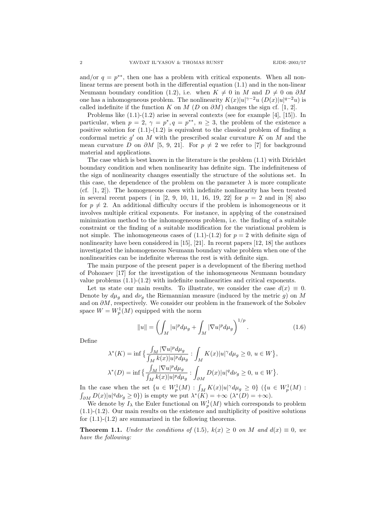and/or  $q = p^{**}$ , then one has a problem with critical exponents. When all nonlinear terms are present both in the differential equation (1.1) and in the non-linear Neumann boundary condition (1.2), i.e. when  $K \neq 0$  in M and  $D \neq 0$  on  $\partial M$ one has a inhomogeneous problem. The nonlinearity  $K(x)|u|^{\gamma-2}u(D(x)|u|^{q-2}u)$  is called indefinite if the function K on M (D on  $\partial M$ ) changes the sign cf. [1, 2].

Problems like (1.1)-(1.2) arise in several contexts (see for example [4], [15]). In particular, when  $p = 2$ ,  $\gamma = p^*$ ,  $q = p^{**}$ ,  $n \ge 3$ , the problem of the existence a positive solution for  $(1.1)-(1.2)$  is equivalent to the classical problem of finding a conformal metric  $g'$  on M with the prescribed scalar curvature  $K$  on M and the mean curvature D on  $\partial M$  [5, 9, 21]. For  $p \neq 2$  we refer to [7] for background material and applications.

The case which is best known in the literature is the problem (1.1) with Dirichlet boundary condition and when nonlinearity has definite sign. The indefiniteness of the sign of nonlinearity changes essentially the structure of the solutions set. In this case, the dependence of the problem on the parameter  $\lambda$  is more complicate (cf. [1, 2]). The homogeneous cases with indefinite nonlinearity has been treated in several recent papers ( in [2, 9, 10, 11, 16, 19, 22] for  $p = 2$  and in [8] also for  $p \neq 2$ . An additional difficulty occurs if the problem is inhomogeneous or it involves multiple critical exponents. For instance, in applying of the constrained minimization method to the inhomogeneous problem, i.e. the finding of a suitable constraint or the finding of a suitable modification for the variational problem is not simple. The inhomogeneous cases of  $(1.1)-(1.2)$  for  $p = 2$  with definite sign of nonlinearity have been considered in [15], [21]. In recent papers [12, 18] the authors investigated the inhomogeneous Neumann boundary value problem when one of the nonlinearities can be indefinite whereas the rest is with definite sign.

The main purpose of the present paper is a development of the fibering method of Pohozaev [17] for the investigation of the inhomogeneous Neumann boundary value problems  $(1.1)-(1.2)$  with indefinite nonlinearities and critical exponents.

Let us state our main results. To illustrate, we consider the case  $d(x) \equiv 0$ . Denote by  $d\mu_g$  and  $d\nu_g$  the Riemannian measure (induced by the metric g) on M and on  $\partial M$ , respectively. We consider our problem in the framework of the Sobolev space  $W = W^1_p(M)$  equipped with the norm

$$
||u|| = \left(\int_{M} |u|^{p} d\mu_{g} + \int_{M} |\nabla u|^{p} d\mu_{g}\right)^{1/p}.
$$
 (1.6)

Define

$$
\lambda^*(K) = \inf \big\{ \frac{\int_M |\nabla u|^p d\mu_g}{\int_M k(x)|u|^p d\mu_g} : \int_M K(x)|u|^\gamma d\mu_g \ge 0, u \in W \big\},
$$
  

$$
\lambda^*(D) = \inf \big\{ \frac{\int_M |\nabla u|^p d\mu_g}{\int_M k(x)|u|^p d\mu_g} : \int_{\partial M} D(x)|u|^q d\nu_g \ge 0, u \in W \big\}.
$$

In the case when the set  $\{u \in W_p^1(M) : \int_M K(x)|u|^\gamma d\mu_g \geq 0\}$   $(\{u \in W_p^1(M) :$  $\int_{\partial M} D(x)|u|^q d\nu_g \ge 0$ ) is empty we put  $\lambda^*(K) = +\infty$   $(\lambda^*(D) = +\infty)$ .

We denote by  $I_\lambda$  the Euler functional on  $W_p^1(M)$  which corresponds to problem  $(1.1)-(1.2)$ . Our main results on the existence and multiplicity of positive solutions for (1.1)-(1.2) are summarized in the following theorems.

**Theorem 1.1.** Under the conditions of (1.5),  $k(x) \geq 0$  on M and  $d(x) \equiv 0$ , we have the following: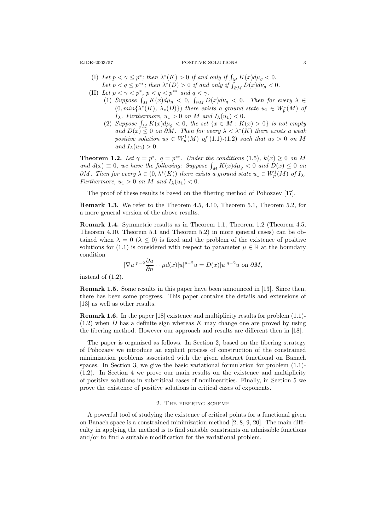### EJDE–2003/57 POSITIVE SOLUTIONS 3

- (I) Let  $p < \gamma \leq p^*$ ; then  $\lambda^*(K) > 0$  if and only if  $\int_M K(x) d\mu_g < 0$ . Let  $p < q \leq p^{**}$ ; then  $\lambda^*(D) > 0$  if and only if  $\int_{\partial M}^{\cdot} D(x) d\nu_g < 0$ .
- (II) Let  $p < \gamma < p^*$ ,  $p < q < p^{**}$  and  $q < \gamma$ .
	- (1) Suppose  $\int_M K(x)d\mu_g < 0$ ,  $\int_{\partial M} D(x)d\nu_g < 0$ . Then for every  $\lambda \in$  $(0, min\{\lambda^*(K), \lambda_*(D)\})$  there exists a ground state  $u_1 \in W_p^1(M)$  of  $I_{\lambda}$ . Furthermore,  $u_1 > 0$  on M and  $I_{\lambda}(u_1) < 0$ .
	- (2) Suppose  $\int_M K(x) d\mu_g < 0$ , the set  $\{x \in M : K(x) > 0\}$  is not empty and  $D(x) \leq 0$  on  $\partial M$ . Then for every  $\lambda < \lambda^*(K)$  there exists a weak positive solution  $u_2 \in W_p^1(M)$  of  $(1.1)-(1.2)$  such that  $u_2 > 0$  on M and  $I_{\lambda}(u_2) > 0$ .

**Theorem 1.2.** Let  $\gamma = p^*$ ,  $q = p^{**}$ . Under the conditions (1.5),  $k(x) \geq 0$  on M and  $d(x) \equiv 0$ , we have the following: Suppose  $\int_M K(x) d\mu_g < 0$  and  $D(x) \leq 0$  on  $\partial M$ . Then for every  $\lambda \in (0, \lambda^*(K))$  there exists a ground state  $u_1 \in W^1_p(M)$  of  $I_\lambda$ . Furthermore,  $u_1 > 0$  on M and  $I_\lambda(u_1) < 0$ .

The proof of these results is based on the fibering method of Pohozaev [17].

Remark 1.3. We refer to the Theorem 4.5, 4.10, Theorem 5.1, Theorem 5.2, for a more general version of the above results.

Remark 1.4. Symmetric results as in Theorem 1.1, Theorem 1.2 (Theorem 4.5, Theorem 4.10, Theorem 5.1 and Theorem 5.2) in more general cases) can be obtained when  $\lambda = 0$  ( $\lambda \le 0$ ) is fixed and the problem of the existence of positive solutions for (1.1) is considered with respect to parameter  $\mu \in \mathbb{R}$  at the boundary condition

$$
|\nabla u|^{p-2}\frac{\partial u}{\partial n} + \mu d(x)|u|^{p-2}u = D(x)|u|^{q-2}u \text{ on } \partial M,
$$

instead of (1.2).

Remark 1.5. Some results in this paper have been announced in [13]. Since then, there has been some progress. This paper contains the details and extensions of [13] as well as other results.

Remark 1.6. In the paper [18] existence and multiplicity results for problem (1.1)-  $(1.2)$  when D has a definite sign whereas K may change one are proved by using the fibering method. However our approach and results are different then in [18].

The paper is organized as follows. In Section 2, based on the fibering strategy of Pohozaev we introduce an explicit process of construction of the constrained minimization problems associated with the given abstract functional on Banach spaces. In Section 3, we give the basic variational formulation for problem (1.1)- (1.2). In Section 4 we prove our main results on the existence and multiplicity of positive solutions in subcritical cases of nonlinearities. Finally, in Section 5 we prove the existence of positive solutions in critical cases of exponents.

## 2. The fibering scheme

A powerful tool of studying the existence of critical points for a functional given on Banach space is a constrained minimization method [2, 8, 9, 20]. The main difficulty in applying the method is to find suitable constraints on admissible functions and/or to find a suitable modification for the variational problem.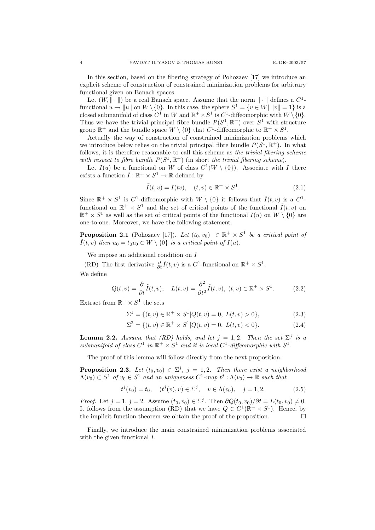In this section, based on the fibering strategy of Pohozaev [17] we introduce an explicit scheme of construction of constrained minimization problems for arbitrary functional given on Banach spaces.

Let  $(W, \|\cdot\|)$  be a real Banach space. Assume that the norm  $\|\cdot\|$  defines a  $C^1$ functional  $u \to \|u\|$  on  $W \setminus \{0\}$ . In this case, the sphere  $S^1 = \{v \in W | ||v|| = 1\}$  is a closed submanifold of class  $C^1$  in W and  $\mathbb{R}^+ \times S^1$  is  $C^1$ -diffeomorphic with  $W \setminus \{0\}$ . Thus we have the trivial principal fibre bundle  $P(S^1, \mathbb{R}^+)$  over  $S^1$  with structure group  $\mathbb{R}^+$  and the bundle space  $W \setminus \{0\}$  that  $C^1$ -diffeomorphic to  $\mathbb{R}^+ \times S^1$ .

Actually the way of construction of constrained minimization problems which we introduce below relies on the trivial principal fibre bundle  $P(S^1, \mathbb{R}^+)$ . In what follows, it is therefore reasonable to call this scheme as the trivial fibering scheme with respect to fibre bundle  $P(S^1, \mathbb{R}^+)$  (in short the trivial fibering scheme).

Let  $I(u)$  be a functional on W of class  $C^1(W \setminus \{0\})$ . Associate with I there exists a function  $\tilde{I}: \mathbb{R}^+ \times S^1 \to \mathbb{R}$  defined by

$$
\tilde{I}(t,v) = I(tv), \quad (t,v) \in \mathbb{R}^+ \times S^1.
$$
\n(2.1)

Since  $\mathbb{R}^+ \times S^1$  is C<sup>1</sup>-diffeomorphic with  $W \setminus \{0\}$  it follows that  $\tilde{I}(t, v)$  is a C<sup>1</sup>functional on  $\mathbb{R}^+ \times S^1$  and the set of critical points of the functional  $\tilde{I}(t, v)$  on  $\mathbb{R}^+ \times S^1$  as well as the set of critical points of the functional  $I(u)$  on  $W \setminus \{0\}$  are one-to-one. Moreover, we have the following statement.

**Proposition 2.1** (Pohozaev [17]). Let  $(t_0, v_0) \in \mathbb{R}^+ \times S^1$  be a critical point of  $\tilde{I}(t, v)$  then  $u_0 = t_0v_0 \in W \setminus \{0\}$  is a critical point of  $I(u)$ .

We impose an additional condition on  $I$ 

(RD) The first derivative  $\frac{\partial}{\partial t} \tilde{I}(t, v)$  is a  $C^1$ -functional on  $\mathbb{R}^+ \times S^1$ . We define

$$
Q(t,v) = \frac{\partial}{\partial t}\tilde{I}(t,v), \quad L(t,v) = \frac{\partial^2}{\partial t^2}\tilde{I}(t,v), \ (t,v) \in \mathbb{R}^+ \times S^1.
$$
 (2.2)

Extract from  $\mathbb{R}^+ \times S^1$  the sets

$$
\Sigma^1 = \{(t, v) \in \mathbb{R}^+ \times S^1 | Q(t, v) = 0, \ L(t, v) > 0\},\tag{2.3}
$$

$$
\Sigma^2 = \{(t, v) \in \mathbb{R}^+ \times S^1 | Q(t, v) = 0, \ L(t, v) < 0\}.\tag{2.4}
$$

**Lemma 2.2.** Assume that (RD) holds, and let  $j = 1, 2$ . Then the set  $\Sigma^j$  is a submanifold of class  $C^1$  in  $\mathbb{R}^+ \times S^1$  and it is local  $C^1$ -diffeomorphic with  $S^1$ .

The proof of this lemma will follow directly from the next proposition.

**Proposition 2.3.** Let  $(t_0, v_0) \in \Sigma^j$ ,  $j = 1, 2$ . Then there exist a neighborhood  $\Lambda(v_0) \subset S^1$  of  $v_0 \in S^1$  and an uniqueness  $C^1$ -map  $t^j : \Lambda(v_0) \to \mathbb{R}$  such that

$$
t^{j}(v_{0}) = t_{0}, \quad (t^{j}(v), v) \in \Sigma^{j}, \quad v \in \Lambda(v_{0}), \quad j = 1, 2. \tag{2.5}
$$

*Proof.* Let  $j = 1$ ,  $j = 2$ . Assume  $(t_0, v_0) \in \Sigma^j$ . Then  $\partial Q(t_0, v_0)/\partial t = L(t_0, v_0) \neq 0$ . It follows from the assumption (RD) that we have  $Q \in C^1(\mathbb{R}^+ \times S^1)$ . Hence, by the implicit function theorem we obtain the proof of the proposition.

Finally, we introduce the main constrained minimization problems associated with the given functional I.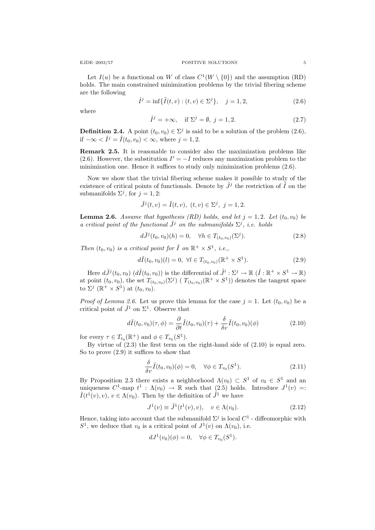Let  $I(u)$  be a functional on W of class  $C^1(W \setminus \{0\})$  and the assumption (RD) holds. The main constrained minimization problems by the trivial fibering scheme are the following

$$
\hat{I}^{j} = \inf \{ \tilde{I}(t, v) : (t, v) \in \Sigma^{j} \}, \quad j = 1, 2,
$$
\n(2.6)

where

$$
\hat{I}^j = +\infty, \quad \text{if } \Sigma^j = \emptyset, \ j = 1, 2. \tag{2.7}
$$

**Definition 2.4.** A point  $(t_0, v_0) \in \Sigma^j$  is said to be a solution of the problem  $(2.6)$ , if  $-\infty < \hat{I}^j = \tilde{I}(t_0, v_0) < \infty$ , where  $j = 1, 2$ .

Remark 2.5. It is reasonable to consider also the maximization problems like (2.6). However, the substitution  $I' = -I$  reduces any maximization problem to the minimization one. Hence it suffices to study only minimization problems (2.6).

Now we show that the trivial fibering scheme makes it possible to study of the existence of critical points of functionals. Denote by  $\tilde{J}^j$  the restriction of  $\tilde{I}$  on the submanifolds  $\Sigma^j$ , for  $j = 1, 2$ :

$$
\tilde{J}^{j}(t, v) = \tilde{I}(t, v), (t, v) \in \Sigma^{j}, j = 1, 2.
$$

**Lemma 2.6.** Assume that hypothesis (RD) holds, and let  $j = 1, 2$ . Let  $(t_0, v_0)$  be a critical point of the functional  $\tilde{J}^j$  on the submanifolds  $\Sigma^j$ , i.e. holds

$$
d\tilde{J}^{j}(t_{0}, v_{0})(h) = 0, \quad \forall h \in T_{(t_{0}, v_{0})}(\Sigma^{j}).
$$
\n(2.8)

Then  $(t_0, v_0)$  is a critical point for  $\tilde{I}$  on  $\mathbb{R}^+ \times S^1$ , i.e.,

$$
d\tilde{I}(t_0, v_0)(l) = 0, \ \forall l \in T_{(t_0, v_0)}(\mathbb{R}^+ \times S^1). \tag{2.9}
$$

Here  $d\tilde{J}^j(t_0, v_0)$   $(d\tilde{I}(t_0, v_0))$  is the differential of  $\tilde{J}^i : \Sigma^j \to \mathbb{R}$   $(\tilde{I} : \mathbb{R}^+ \times S^1 \to \mathbb{R})$ at point  $(t_0, v_0)$ , the set  $T_{(t_0, v_0)}(\Sigma^j)$  (  $T_{(t_0, v_0)}(\mathbb{R}^+ \times S^1)$ ) denotes the tangent space to  $\Sigma^j$  ( $\mathbb{R}^+ \times S^1$ ) at  $(t_0, v_0)$ .

*Proof of Lemma 2.6.* Let us prove this lemma for the case  $j = 1$ . Let  $(t_0, v_0)$  be a critical point of  $\tilde{J}^1$  on  $\Sigma^1$ . Observe that

$$
d\tilde{I}(t_0, v_0)(\tau, \phi) = \frac{\partial}{\partial t} \tilde{I}(t_0, v_0)(\tau) + \frac{\delta}{\delta v} \tilde{I}(t_0, v_0)(\phi)
$$
\n(2.10)

for every  $\tau \in T_{t_0}(\mathbb{R}^+)$  and  $\phi \in T_{v_0}(S^1)$ .

By virtue of (2.3) the first term on the right-hand side of (2.10) is equal zero. So to prove (2.9) it suffices to show that

$$
\frac{\delta}{\delta v}\tilde{I}(t_0, v_0)(\phi) = 0, \quad \forall \phi \in T_{v_0}(S^1). \tag{2.11}
$$

By Proposition 2.3 there exists a neighborhood  $\Lambda(v_0) \subset S^1$  of  $v_0 \in S^1$  and an uniqueness  $C^1$ -map  $t^1$ :  $\Lambda(v_0) \to \mathbb{R}$  such that  $(2.5)$  holds. Introduce  $J^1(v) =$ :  $\tilde{I}(t^1(v), v), v \in \Lambda(v_0)$ . Then by the definition of  $\tilde{J}^1$  we have

$$
J^{1}(v) \equiv \tilde{J}^{1}(t^{1}(v), v), \quad v \in \Lambda(v_{0}).
$$
\n(2.12)

Hence, taking into account that the submanifold  $\Sigma^j$  is local  $C^1$  - diffeomorphic with  $S^1$ , we deduce that  $v_0$  is a critical point of  $J^1(v)$  on  $\Lambda(v_0)$ , i.e.

$$
dJ^1(v_0)(\phi) = 0, \quad \forall \phi \in T_{v_0}(S^1).
$$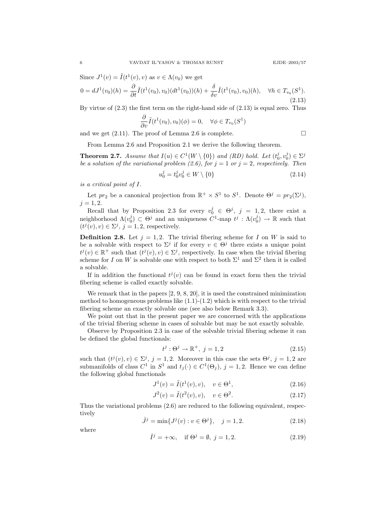Since  $J^1(v) = \tilde{I}(t^1(v), v)$  as  $v \in \Lambda(v_0)$  we get

$$
0 = dJ^{1}(v_{0})(h) = \frac{\partial}{\partial t}\tilde{I}(t^{1}(v_{0}), v_{0})(dt^{1}(v_{0}))(h) + \frac{\delta}{\delta v}\tilde{I}(t^{1}(v_{0}), v_{0})(h), \quad \forall h \in T_{v_{0}}(S^{1}).
$$
\n(2.13)

By virtue of  $(2.3)$  the first term on the right-hand side of  $(2.13)$  is equal zero. Thus

$$
\frac{\partial}{\partial v}\tilde{I}(t^1(v_0), v_0)(\phi) = 0, \quad \forall \phi \in T_{v_0}(S^1)
$$

and we get (2.11). The proof of Lemma 2.6 is complete.

$$
\qquad \qquad \Box
$$

From Lemma 2.6 and Proposition 2.1 we derive the following theorem.

**Theorem 2.7.** Assume that  $I(u) \in C^1(W \setminus \{0\})$  and  $(RD)$  hold. Let  $(t_0^j, v_0^j) \in \Sigma^j$ be a solution of the variational problem (2.6), for  $j = 1$  or  $j = 2$ , respectively. Then

$$
u_0^j = t_0^j v_0^j \in W \setminus \{0\} \tag{2.14}
$$

is a critical point of I.

Let  $pr_2$  be a canonical projection from  $\mathbb{R}^+ \times S^1$  to  $S^1$ . Denote  $\Theta^j = pr_2(\Sigma^j)$ ,  $j = 1, 2.$ 

Recall that by Proposition 2.3 for every  $v_0^j \in \Theta^j$ ,  $j = 1, 2$ , there exist a neighborhood  $\Lambda(v_0^j) \subset \Theta^j$  and an uniqueness  $C^1$ -map  $t^j : \Lambda(v_0^j) \to \mathbb{R}$  such that  $(t^j(v), v) \in \Sigma^j$ ,  $j = 1, 2$ , respectively.

**Definition 2.8.** Let  $j = 1, 2$ . The trivial fibering scheme for I on W is said to be a solvable with respect to  $\Sigma^j$  if for every  $v \in \Theta^j$  there exists a unique point  $t^j(v) \in \mathbb{R}^+$  such that  $(t^j(v), v) \in \Sigma^j$ , respectively. In case when the trivial fibering scheme for I on W is solvable one with respect to both  $\Sigma^1$  and  $\Sigma^2$  then it is called a solvable.

If in addition the functional  $t^j(v)$  can be found in exact form then the trivial fibering scheme is called exactly solvable.

We remark that in the papers [2, 9, 8, 20], it is used the constrained minimization method to homogeneous problems like  $(1.1)-(1.2)$  which is with respect to the trivial fibering scheme an exactly solvable one (see also below Remark 3.3).

We point out that in the present paper we are concerned with the applications of the trivial fibering scheme in cases of solvable but may be not exactly solvable.

Observe by Proposition 2.3 in case of the solvable trivial fibering scheme it can be defined the global functionals:

$$
t^j: \Theta^j \to \mathbb{R}^+, \ j = 1, 2 \tag{2.15}
$$

such that  $(t^j(v), v) \in \Sigma^j$ ,  $j = 1, 2$ . Moreover in this case the sets  $\Theta^j$ ,  $j = 1, 2$  are submanifolds of class  $C^1$  in  $S^1$  and  $t_j(\cdot) \in C^1(\Theta_j)$ ,  $j = 1, 2$ . Hence we can define the following global functionals

$$
J^{1}(v) = \tilde{I}(t^{1}(v), v), \quad v \in \Theta^{1}, \tag{2.16}
$$

$$
J^{2}(v) = \tilde{I}(t^{2}(v), v), \quad v \in \Theta^{2}.
$$
 (2.17)

Thus the variational problems (2.6) are reduced to the following equivalent, respectively

$$
\hat{J}^{j} = \min\{J^{j}(v) : v \in \Theta^{j}\}, \quad j = 1, 2.
$$
\n(2.18)

where

$$
\hat{I}^j = +\infty, \quad \text{if } \Theta^j = \emptyset, \ j = 1, 2. \tag{2.19}
$$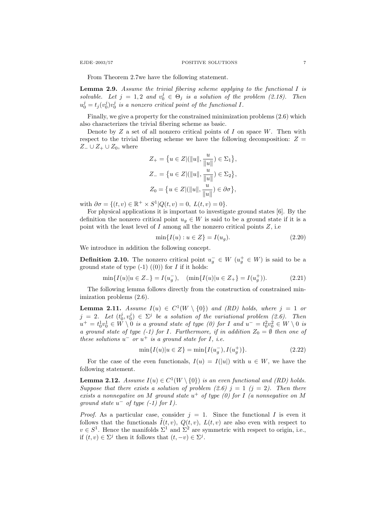From Theorem 2.7we have the following statement.

**Lemma 2.9.** Assume the trivial fibering scheme applying to the functional  $I$  is solvable. Let  $j = 1, 2$  and  $v_0^j \in \Theta_j$  is a solution of the problem (2.18). Then  $u_0^j = t_j(v_0^j)v_0^j$  is a nonzero critical point of the functional I.

Finally, we give a property for the constrained minimization problems (2.6) which also characterizes the trivial fibering scheme as basic.

Denote by  $Z$  a set of all nonzero critical points of  $I$  on space  $W$ . Then with respect to the trivial fibering scheme we have the following decomposition:  $Z =$  $Z_-\cup Z_+\cup Z_0$ , where

$$
Z_{+} = \{ u \in Z | (\|u\|, \frac{u}{\|u\|}) \in \Sigma_{1} \},
$$
  
\n
$$
Z_{-} = \{ u \in Z | (\|u\|, \frac{u}{\|u\|}) \in \Sigma_{2} \},
$$
  
\n
$$
Z_{0} = \{ u \in Z | (\|u\|, \frac{u}{\|u\|}) \in \partial \sigma \},
$$

with  $\partial \sigma = \{(t, v) \in \mathbb{R}^+ \times S^1 | Q(t, v) = 0, L(t, v) = 0 \}.$ 

For physical applications it is important to investigate ground states [6]. By the definition the nonzero critical point  $u<sub>g</sub> \in W$  is said to be a ground state if it is a point with the least level of  $I$  among all the nonzero critical points  $Z$ , i.e.

$$
\min\{I(u) : u \in Z\} = I(u_g). \tag{2.20}
$$

We introduce in addition the following concept.

**Definition 2.10.** The nonzero critical point  $u_g^- \in W$   $(u_g^+ \in W)$  is said to be a ground state of type  $(-1)$   $((0))$  for *I* if it holds:

$$
\min\{I(u)|u \in Z_{-}\} = I(u_g^-), \quad (\min\{I(u)|u \in Z_{+}\} = I(u_g^+)).\tag{2.21}
$$

The following lemma follows directly from the construction of constrained minimization problems (2.6).

**Lemma 2.11.** Assume  $I(u) \in C^1(W \setminus \{0\})$  and (RD) holds, where  $j = 1$  or  $j = 2$ . Let  $(t_0^j, v_0^j) \in \Sigma^j$  be a solution of the variational problem (2.6). Then  $u^+ = t_0^1 v_0^1 \in W \setminus 0$  is a ground state of type (0) for I and  $u^- = t_0^2 v_0^2 \in W \setminus 0$  is a ground state of type (-1) for I. Furthermore, if in addition  $Z_0 = \emptyset$  then one of these solutions  $u^-$  or  $u^+$  is a ground state for I, i.e.

$$
\min\{I(u)|u \in Z\} = \min\{I(u_g^-), I(u_g^+)\}.
$$
\n(2.22)

For the case of the even functionals,  $I(u) = I(|u|)$  with  $u \in W$ , we have the following statement.

**Lemma 2.12.** Assume  $I(u) \in C^1(W \setminus \{0\})$  is an even functional and (RD) holds. Suppose that there exists a solution of problem (2.6)  $j = 1$  ( $j = 2$ ). Then there exists a nonnegative on M ground state  $u^+$  of type (0) for I (a nonnegative on M ground state  $u^-$  of type  $(-1)$  for  $I$ ).

*Proof.* As a particular case, consider  $j = 1$ . Since the functional I is even it follows that the functionals  $\tilde{I}(t, v)$ ,  $Q(t, v)$ ,  $L(t, v)$  are also even with respect to  $v \in S^1$ . Hence the manifolds  $\Sigma^1$  and  $\Sigma^2$  are symmetric with respect to origin, i.e., if  $(t, v) \in \Sigma^j$  then it follows that  $(t, -v) \in \Sigma^j$ .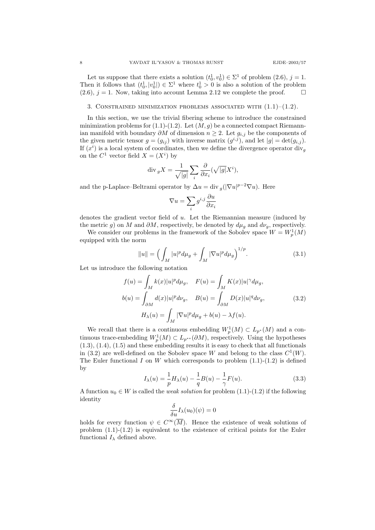Let us suppose that there exists a solution  $(t_0^1, v_0^1) \in \Sigma^1$  of problem  $(2.6), j = 1$ . Then it follows that  $(t_0^1, |v_0^1|) \in \Sigma^1$  where  $t_0^1 > 0$  is also a solution of the problem  $(2.6), j = 1$ . Now, taking into account Lemma 2.12 we complete the proof.

### 3. CONSTRAINED MINIMIZATION PROBLEMS ASSOCIATED WITH  $(1.1)$ – $(1.2)$ .

In this section, we use the trivial fibering scheme to introduce the constrained minimization problems for (1.1)-(1.2). Let  $(M, g)$  be a connected compact Riemannian manifold with boundary  $\partial M$  of dimension  $n \geq 2$ . Let  $g_{i,j}$  be the components of the given metric tensor  $g = (g_{ij})$  with inverse matrix  $(g^{i,j})$ , and let  $|g| = \det(g_{i,j})$ . If  $(x<sup>i</sup>)$  is a local system of coordinates, then we define the divergence operator div<sub>g</sub> on the  $C^1$  vector field  $X = (X^i)$  by

$$
\operatorname{div}_g X = \frac{1}{\sqrt{|g|}} \sum_i \frac{\partial}{\partial x_i} (\sqrt{|g|} X^i),
$$

and the p-Laplace–Beltrami operator by  $\Delta u = \text{div}_g(|\nabla u|^{p-2}\nabla u)$ . Here

$$
\nabla u = \sum_{i} g^{i,j} \frac{\partial u}{\partial x_i}
$$

denotes the gradient vector field of  $u$ . Let the Riemannian measure (induced by

the metric g) on M and  $\partial M$ , respectively, be denoted by  $d\mu_q$  and  $d\nu_q$ , respectively. We consider our problems in the framework of the Sobolev space  $W = W_p^1(M)$ equipped with the norm

$$
||u|| = \left(\int_{M} |u|^{p} d\mu_{g} + \int_{M} |\nabla u|^{p} d\mu_{g}\right)^{1/p}.
$$
 (3.1)

Let us introduce the following notation

$$
f(u) = \int_M k(x)|u|^p d\mu_g, \quad F(u) = \int_M K(x)|u|^\gamma d\mu_g,
$$
  

$$
b(u) = \int_{\partial M} d(x)|u|^p d\nu_g, \quad B(u) = \int_{\partial M} D(x)|u|^q d\nu_g,
$$
  

$$
H_\lambda(u) = \int_M |\nabla u|^p d\mu_g + b(u) - \lambda f(u).
$$
 (3.2)

We recall that there is a continuous embedding  $W_p^1(M) \subset L_{p^*}(M)$  and a continuous trace-embedding  $W_p^1(M) \subset L_{p^{**}}(\partial M)$ , respectively. Using the hypotheses  $(1.3), (1.4), (1.5)$  and these embedding results it is easy to check that all functionals in (3.2) are well-defined on the Sobolev space W and belong to the class  $C^1(W)$ . The Euler functional I on W which corresponds to problem  $(1.1)-(1.2)$  is defined by

$$
I_{\lambda}(u) = \frac{1}{p} H_{\lambda}(u) - \frac{1}{q} B(u) - \frac{1}{\gamma} F(u).
$$
 (3.3)

A function  $u_0 \in W$  is called the *weak solution* for problem  $(1.1)-(1.2)$  if the following identity

$$
\frac{\delta}{\delta u}I_{\lambda}(u_0)(\psi)=0
$$

holds for every function  $\psi \in C^{\infty}(\overline{M})$ . Hence the existence of weak solutions of problem (1.1)-(1.2) is equivalent to the existence of critical points for the Euler functional  $I_{\lambda}$  defined above.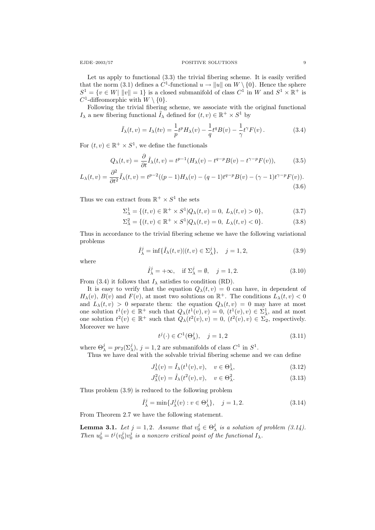Let us apply to functional (3.3) the trivial fibering scheme. It is easily verified that the norm (3.1) defines a  $C^1$ -functional  $u \to \|u\|$  on  $W \setminus \{0\}$ . Hence the sphere  $S^1 = \{v \in W | ||v|| = 1\}$  is a closed submanifold of class  $C^1$  in W and  $S^1 \times \mathbb{R}^+$  is  $C^1$ -diffeomorphic with  $W \setminus \{0\}.$ 

Following the trivial fibering scheme, we associate with the original functional  $I_{\lambda}$  a new fibering functional  $\tilde{I}_{\lambda}$  defined for  $(t, v) \in \mathbb{R}^+ \times S^1$  by

$$
\tilde{I}_{\lambda}(t,v) = I_{\lambda}(tv) = \frac{1}{p}t^{p}H_{\lambda}(v) - \frac{1}{q}t^{q}B(v) - \frac{1}{\gamma}t^{\gamma}F(v).
$$
\n(3.4)

For  $(t, v) \in \mathbb{R}^+ \times S^1$ , we define the functionals

$$
Q_{\lambda}(t,v) = \frac{\partial}{\partial t}\tilde{I}_{\lambda}(t,v) = t^{p-1}(H_{\lambda}(v) - t^{q-p}B(v) - t^{\gamma-p}F(v)),\tag{3.5}
$$

$$
L_{\lambda}(t,v) = \frac{\partial^2}{\partial t^2} \tilde{I}_{\lambda}(t,v) = t^{p-2}((p-1)H_{\lambda}(v) - (q-1)t^{q-p}B(v) - (\gamma-1)t^{\gamma-p}F(v)).
$$
\n(3.6)

Thus we can extract from  $\mathbb{R}^+ \times S^1$  the sets

$$
\Sigma_{\lambda}^{1} = \{ (t, v) \in \mathbb{R}^{+} \times S^{1} | Q_{\lambda}(t, v) = 0, L_{\lambda}(t, v) > 0 \},
$$
\n(3.7)

$$
\Sigma_{\lambda}^{2} = \{ (t, v) \in \mathbb{R}^{+} \times S^{1} | Q_{\lambda}(t, v) = 0, L_{\lambda}(t, v) < 0 \}.
$$
 (3.8)

Thus in accordance to the trivial fibering scheme we have the following variational problems

$$
\hat{I}^j_{\lambda} = \inf \{ \tilde{I}_{\lambda}(t, v) | (t, v) \in \Sigma^j_{\lambda} \}, \quad j = 1, 2,
$$
\n(3.9)

where

$$
\hat{I}_{\lambda}^{j} = +\infty, \quad \text{if } \Sigma_{\lambda}^{j} = \emptyset, \quad j = 1, 2. \tag{3.10}
$$

From (3.4) it follows that  $I_{\lambda}$  satisfies to condition (RD).

It is easy to verify that the equation  $Q_{\lambda}(t, v) = 0$  can have, in dependent of  $H_{\lambda}(v)$ ,  $B(v)$  and  $F(v)$ , at most two solutions on  $\mathbb{R}^+$ . The conditions  $L_{\lambda}(t, v) < 0$ and  $L_{\lambda}(t, v) > 0$  separate them: the equation  $Q_{\lambda}(t, v) = 0$  may have at most one solution  $t^1(v) \in \mathbb{R}^+$  such that  $Q_\lambda(t^1(v), v) = 0$ ,  $(t^1(v), v) \in \Sigma_\lambda^1$ , and at most one solution  $t^2(v) \in \mathbb{R}^+$  such that  $Q_\lambda(t^2(v), v) = 0$ ,  $(t^2(v), v) \in \Sigma_2$ , respectively. Moreover we have

$$
t^{j}(\cdot) \in C^{1}(\Theta_{\lambda}^{j}), \quad j = 1, 2
$$
 (3.11)

where  $\Theta_{\lambda}^{j} = pr_2(\Sigma_{\lambda}^{j}), j = 1, 2$  are submanifolds of class  $C^1$  in  $S^1$ .

Thus we have deal with the solvable trivial fibering scheme and we can define

$$
J^1_\lambda(v) = \tilde{I}_\lambda(t^1(v), v), \quad v \in \Theta^1_\lambda,\tag{3.12}
$$

$$
J_{\lambda}^{2}(v) = \tilde{I}_{\lambda}(t^{2}(v), v), \quad v \in \Theta_{\lambda}^{2}.
$$
\n(3.13)

Thus problem (3.9) is reduced to the following problem

$$
\hat{I}_{\lambda}^{j} = \min \{ J_{\lambda}^{j}(v) : v \in \Theta_{\lambda}^{j} \}, \quad j = 1, 2.
$$
 (3.14)

From Theorem 2.7 we have the following statement.

**Lemma 3.1.** Let  $j = 1, 2$ . Assume that  $v_0^j \in \Theta_\lambda^j$  is a solution of problem (3.14). Then  $u_0^j = t^j(v_0^j)v_0^j$  is a nonzero critical point of the functional  $I_\lambda$ .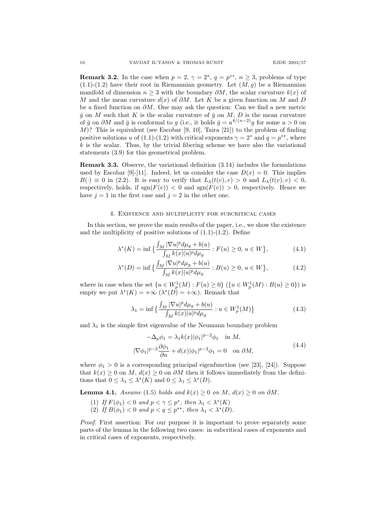**Remark 3.2.** In the case when  $p = 2$ ,  $\gamma = 2^*$ ,  $q = p^{**}$ ,  $n \ge 3$ , problems of type  $(1.1)-(1.2)$  have their root in Riemannian geometry. Let  $(M, g)$  be a Riemannian manifold of dimension  $n \geq 3$  with the boundary  $\partial M$ , the scalar curvature  $k(x)$  of M and the mean curvature  $d(x)$  of  $\partial M$ . Let K be a given function on M and D be a fixed function on  $\partial M$ . One may ask the question: Can we find a new metric  $\bar{g}$  on M such that K is the scalar curvature of  $\bar{g}$  on M, D is the mean curvature of  $\bar{g}$  on  $\partial M$  and  $\bar{g}$  is conformal to g (i.e., it holds  $\bar{g} = u^{4/(n-2)}g$  for some  $u > 0$  on  $M$ ? This is equivalent (see Escobar [9, 10], Taira [21]) to the problem of finding positive solutions u of (1.1)-(1.2) with critical exponents  $\gamma = 2^*$  and  $q = p^{**}$ , where  $k$  is the scalar. Thus, by the trivial fibering scheme we have also the variational statements (3.9) for this geometrical problem.

Remark 3.3. Observe, the variational definition (3.14) includes the formulations used by Escobar [9]-[11]. Indeed, let us consider the case  $D(x) = 0$ . This implies  $B(\cdot) \equiv 0$  in (2.2). It is easy to verify that  $L_{\lambda}(t(v), v) > 0$  and  $L_{\lambda}(t(v), v) < 0$ , respectively, holds, if  $sgn(F(v)) < 0$  and  $sgn(F(v)) > 0$ , respectively. Hence we have  $j = 1$  in the first case and  $j = 2$  in the other one.

## 4. Existence and multiplicity for subcritical cases

In this section, we prove the main results of the paper, i.e., we show the existence and the multiplicity of positive solutions of  $(1.1)-(1.2)$ . Define

$$
\lambda^*(K) = \inf \left\{ \frac{\int_M |\nabla u|^p d\mu_g + b(u)}{\int_M k(x)|u|^p d\mu_g} : F(u) \ge 0, \ u \in W \right\},\tag{4.1}
$$

$$
\lambda^*(D) = \inf \left\{ \frac{\int_M |\nabla u|^p d\mu_g + b(u)}{\int_M k(x)|u|^p d\mu_g} : B(u) \ge 0, u \in W \right\},\tag{4.2}
$$

where in case when the set  $\{u \in W_p^1(M) : F(u) \ge 0\}$   $(\{u \in W_p^1(M) : B(u) \ge 0\})$  is empty we put  $\lambda^*(K) = +\infty$   $(\lambda^*(D) = +\infty)$ . Remark that

$$
\lambda_1 = \inf \left\{ \frac{\int_M |\nabla u|^p d\mu_g + b(u)}{\int_M k(x)|u|^p d\mu_g} : u \in W^1_p(M) \right\}
$$
(4.3)

and  $\lambda_1$  is the simple first eigenvalue of the Neumann boundary problem

$$
-\Delta_p \phi_1 = \lambda_1 k(x) |\phi_1|^{p-2} \phi_1 \quad \text{in } M,
$$
  

$$
|\nabla \phi_1|^{p-2} \frac{\partial \phi_1}{\partial n} + d(x) |\phi_1|^{p-2} \phi_1 = 0 \quad \text{on } \partial M,
$$
 (4.4)

where  $\phi_1 > 0$  is a corresponding principal eigenfunction (see [23], [24]). Suppose that  $k(x) \geq 0$  on M,  $d(x) \geq 0$  on  $\partial M$  then it follows immediately from the definitions that  $0 \leq \lambda_1 \leq \lambda^*(K)$  and  $0 \leq \lambda_1 \leq \lambda^*(D)$ .

Lemma 4.1. Assume (1.5) holds and  $k(x) \geq 0$  on  $M$ ,  $d(x) \geq 0$  on  $\partial M$ .

- (1) If  $F(\phi_1) < 0$  and  $p < \gamma \leq p^*$ , then  $\lambda_1 < \lambda^*(K)$
- (2) If  $B(\phi_1) < 0$  and  $p < q \leq p^{**}$ , then  $\lambda_1 < \lambda^*(D)$ .

Proof. First assertion: For our purpose it is important to prove separately some parts of the lemma in the following two cases: in subcritical cases of exponents and in critical cases of exponents, respectively.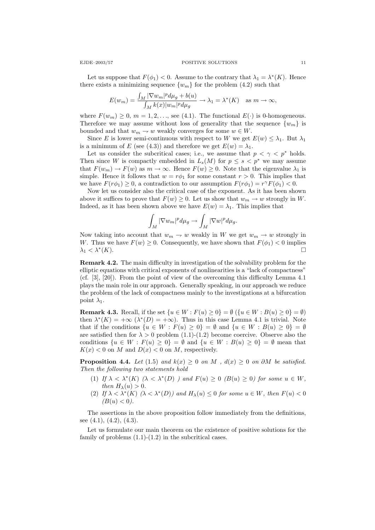Let us suppose that  $F(\phi_1) < 0$ . Assume to the contrary that  $\lambda_1 = \lambda^*(K)$ . Hence there exists a minimizing sequence  $\{w_m\}$  for the problem (4.2) such that

$$
E(w_m) = \frac{\int_M |\nabla w_m|^p d\mu_g + b(u)}{\int_M k(x)|w_m|^p d\mu_g} \to \lambda_1 = \lambda^*(K) \quad \text{as } m \to \infty,
$$

where  $F(w_m) \geq 0$ ,  $m = 1, 2, \ldots$ , see (4.1). The functional  $E(\cdot)$  is 0-homogeneous. Therefore we may assume without loss of generality that the sequence  $\{w_m\}$  is bounded and that  $w_m \to w$  weakly converges for some  $w \in W$ .

Since E is lower semi-continuous with respect to W we get  $E(w) \leq \lambda_1$ . But  $\lambda_1$ is a minimum of E (see (4.3)) and therefore we get  $E(w) = \lambda_1$ .

Let us consider the subcritical cases; i.e., we assume that  $p < \gamma < p^*$  holds. Then since W is compactly embedded in  $L_s(M)$  for  $p \leq s < p^*$  we may assume that  $F(w_m) \to F(w)$  as  $m \to \infty$ . Hence  $F(w) \geq 0$ . Note that the eigenvalue  $\lambda_1$  is simple. Hence it follows that  $w = r\phi_1$  for some constant  $r > 0$ . This implies that we have  $F(r\phi_1) \geq 0$ , a contradiction to our assumption  $F(r\phi_1) = r^{\gamma} F(\phi_1) < 0$ .

Now let us consider also the critical case of the exponent. As it has been shown above it suffices to prove that  $F(w) \geq 0$ . Let us show that  $w_m \to w$  strongly in W. Indeed, as it has been shown above we have  $E(w) = \lambda_1$ . This implies that

$$
\int_M |\nabla w_m|^p d\mu_g \to \int_M |\nabla w|^p d\mu_g.
$$

Now taking into account that  $w_m \to w$  weakly in W we get  $w_m \to w$  strongly in W. Thus we have  $F(w) \geq 0$ . Consequently, we have shown that  $F(\phi_1) < 0$  implies  $\lambda_1 < \lambda^*(K)$ .  $(K).$ 

Remark 4.2. The main difficulty in investigation of the solvability problem for the elliptic equations with critical exponents of nonlinearities is a "lack of compactness" (cf. [3], [20]). From the point of view of the overcoming this difficulty Lemma 4.1 plays the main role in our approach. Generally speaking, in our approach we reduce the problem of the lack of compactness mainly to the investigations at a bifurcation point  $\lambda_1$ .

**Remark 4.3.** Recall, if the set  $\{u \in W : F(u) \geq 0\} = \emptyset$   $(\{u \in W : B(u) \geq 0\} = \emptyset)$ then  $\lambda^*(K) = +\infty$   $(\lambda^*(D) = +\infty)$ . Thus in this case Lemma 4.1 is trivial. Note that if the conditions  $\{u \in W : F(u) \geq 0\} = \emptyset$  and  $\{u \in W : B(u) \geq 0\} = \emptyset$ are satisfied then for  $\lambda > 0$  problem (1.1)-(1.2) become coercive. Observe also the conditions  $\{u \in W : F(u) \geq 0\} = \emptyset$  and  $\{u \in W : B(u) \geq 0\} = \emptyset$  mean that  $K(x) < 0$  on M and  $D(x) < 0$  on M, respectively.

**Proposition 4.4.** Let (1.5) and  $k(x) \geq 0$  on M,  $d(x) \geq 0$  on  $\partial M$  be satisfied. Then the following two statements hold

- (1) If  $\lambda < \lambda^*(K)$  ( $\lambda < \lambda^*(D)$ ) and  $F(u) \geq 0$  ( $B(u) \geq 0$ ) for some  $u \in W$ , then  $H_{\lambda}(u) > 0$ .
- (2) If  $\lambda < \lambda^*(K)$  ( $\lambda < \lambda^*(D)$ ) and  $H_{\lambda}(u) \leq 0$  for some  $u \in W$ , then  $F(u) < 0$  $(B(u) < 0).$

The assertions in the above proposition follow immediately from the definitions, see  $(4.1)$ ,  $(4.2)$ ,  $(4.3)$ .

Let us formulate our main theorem on the existence of positive solutions for the family of problems  $(1.1)-(1.2)$  in the subcritical cases.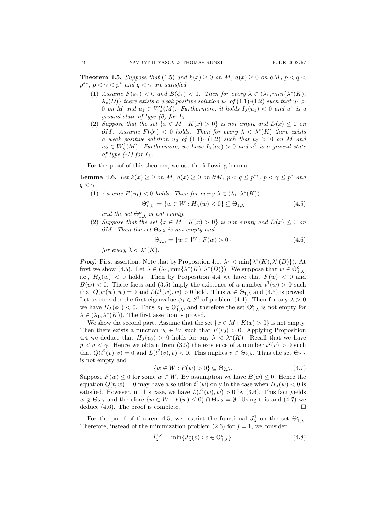**Theorem 4.5.** Suppose that (1.5) and  $k(x) \ge 0$  on M,  $d(x) \ge 0$  on  $\partial M$ ,  $p < q <$  $p^{**}$ ,  $p < \gamma < p^*$  and  $q < \gamma$  are satisfied.

- (1) Assume  $F(\phi_1) < 0$  and  $B(\phi_1) < 0$ . Then for every  $\lambda \in (\lambda_1, min{\lambda^*(K)},$  $\lambda_*(D)$ } there exists a weak positive solution  $u_1$  of (1.1)-(1.2) such that  $u_1 >$ 0 on M and  $u_1 \in W_p^1(M)$ . Furthermore, it holds  $I_\lambda(u_1) < 0$  and  $u^1$  is a ground state of type  $(0)$  for  $I_{\lambda}$ .
- (2) Suppose that the set  $\{x \in M : K(x) > 0\}$  is not empty and  $D(x) \leq 0$  on  $\partial M$ . Assume  $F(\phi_1) < 0$  holds. Then for every  $\lambda < \lambda^*(K)$  there exists a weak positive solution  $u_2$  of (1.1)- (1.2) such that  $u_2 > 0$  on M and  $u_2 \in W^1_p(M)$ . Furthermore, we have  $I_\lambda(u_2) > 0$  and  $u^2$  is a ground state of type  $(-1)$  for  $I_{\lambda}$ .

For the proof of this theorem, we use the following lemma.

**Lemma 4.6.** Let  $k(x) \ge 0$  on M,  $d(x) \ge 0$  on  $\partial M$ ,  $p < q \le p^{**}$ ,  $p < \gamma \le p^{*}$  and  $q < \gamma$ .

(1) Assume  $F(\phi_1) < 0$  holds. Then for every  $\lambda \in (\lambda_1, \lambda^*(K))$ 

$$
\Theta_{1,\lambda}^o := \{ w \in W : H_\lambda(w) < 0 \} \subseteq \Theta_{1,\lambda} \tag{4.5}
$$

and the set  $\Theta_{1,\lambda}^o$  is not empty.

(2) Suppose that the set  $\{x \in M : K(x) > 0\}$  is not empty and  $D(x) \leq 0$  on  $\partial M$ . Then the set  $\Theta_{2,\lambda}$  is not empty and

$$
\Theta_{2,\lambda} = \{ w \in W : F(w) > 0 \}
$$
\n(4.6)

for every  $\lambda < \lambda^*(K)$ .

*Proof.* First assertion. Note that by Proposition 4.1.  $\lambda_1 < \min\{\lambda^*(K), \lambda^*(D)\}\)$ . At first we show (4.5). Let  $\lambda \in (\lambda_1, \min{\{\lambda^*(K), \lambda^*(D)\}})$ . We suppose that  $w \in \Theta_{1,\lambda}^o$ , i.e.,  $H_{\lambda}(w) < 0$  holds. Then by Proposition 4.4 we have that  $F(w) < 0$  and  $B(w) < 0$ . These facts and (3.5) imply the existence of a number  $t^1(w) > 0$  such that  $Q(t^1(w), w) = 0$  and  $L(t^1(w), w) > 0$  hold. Thus  $w \in \Theta_{1,\lambda}$  and (4.5) is proved. Let us consider the first eigenvalue  $\phi_1 \in S^1$  of problem (4.4). Then for any  $\lambda > 0$ we have  $H_\lambda(\phi_1) < 0$ . Thus  $\phi_1 \in \Theta_{1,\lambda}^o$ , and therefore the set  $\Theta_{1,\lambda}^o$  is not empty for  $\lambda \in (\lambda_1, \lambda^*(K))$ . The first assertion is proved.

We show the second part. Assume that the set  $\{x \in M : K(x) > 0\}$  is not empty. Then there exists a function  $v_0 \in W$  such that  $F(v_0) > 0$ . Applying Proposition 4.4 we deduce that  $H_{\lambda}(v_0) > 0$  holds for any  $\lambda < \lambda^*(K)$ . Recall that we have  $p < q < \gamma$ . Hence we obtain from (3.5) the existence of a number  $t^2(v) > 0$  such that  $Q(t^2(v), v) = 0$  and  $L(t^2(v), v) < 0$ . This implies  $v \in \Theta_{2,\lambda}$ . Thus the set  $\Theta_{2,\lambda}$ is not empty and

$$
\{w \in W : F(w) > 0\} \subseteq \Theta_{2,\lambda}.\tag{4.7}
$$

Suppose  $F(w) \leq 0$  for some  $w \in W$ . By assumption we have  $B(w) \leq 0$ . Hence the equation  $Q(t, w) = 0$  may have a solution  $t^2(w)$  only in the case when  $H_{\lambda}(w) < 0$  is satisfied. However, in this case, we have  $L(t^2(w), w) > 0$  by (3.6). This fact yields  $w \notin \Theta_{2,\lambda}$  and therefore  $\{w \in W : F(w) \leq 0\} \cap \Theta_{2,\lambda} = \emptyset$ . Using this and (4.7) we deduce  $(4.6)$ . The proof is complete.

For the proof of theorem 4.5, we restrict the functional  $J^1_\lambda$  on the set  $\Theta_{1,\lambda}^o$ . Therefore, instead of the minimization problem  $(2.6)$  for  $j = 1$ , we consider

$$
\hat{I}_{\lambda}^{1,o} = \min\{J_{\lambda}^1(v) : v \in \Theta_{1,\lambda}^o\}.
$$
\n(4.8)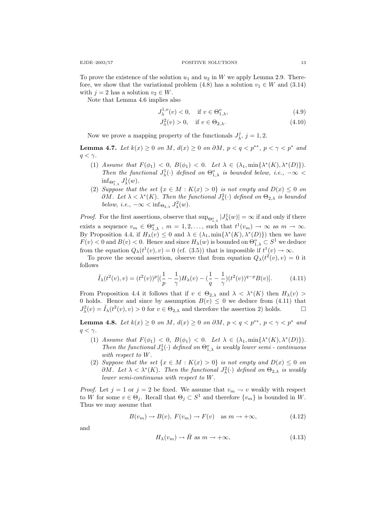To prove the existence of the solution  $u_1$  and  $u_2$  in W we apply Lemma 2.9. Therefore, we show that the variational problem (4.8) has a solution  $v_1 \in W$  and (3.14) with  $j = 2$  has a solution  $v_2 \in W$ .

Note that Lemma 4.6 implies also

$$
J_{\lambda}^{1,o}(v) < 0, \quad \text{if } v \in \Theta_{1,\lambda}^o,\tag{4.9}
$$

$$
J_{\lambda}^{2}(v) > 0, \quad \text{if } v \in \Theta_{2,\lambda}.\tag{4.10}
$$

Now we prove a mapping property of the functionals  $J^j_\lambda$ ,  $j = 1, 2$ .

**Lemma 4.7.** Let  $k(x) \ge 0$  on M,  $d(x) \ge 0$  on  $\partial M$ ,  $p < q < p^{**}$ ,  $p < \gamma < p^{*}$  and  $q < \gamma$ .

- (1) Assume that  $F(\phi_1) < 0$ ,  $B(\phi_1) < 0$ . Let  $\lambda \in (\lambda_1, \min{\{\lambda^*(K), \lambda^*(D)\}})$ . Then the functional  $J^1_\lambda(\cdot)$  defined on  $\Theta_{1,\lambda}^o$  is bounded below, i.e.,  $-\infty$  <  $\inf_{\Theta_{1,\lambda}^o} J^1_\lambda(w)$ .
- (2) Suppose that the set  $\{x \in M : K(x) > 0\}$  is not empty and  $D(x) \leq 0$  on  $\partial M$ . Let  $\lambda < \lambda^*(K)$ . Then the functional  $J^2_{\lambda}(\cdot)$  defined on  $\Theta_{2,\lambda}$  is bounded below, i.e.,  $-\infty < \inf_{\Theta_{2,\lambda}} J^2_{\lambda}(w)$ .

*Proof.* For the first assertions, observe that  $\sup_{\Theta_{1,\lambda}^o} |J_\lambda^1(w)| = \infty$  if and only if there exists a sequence  $v_m \in \Theta_{1,\lambda}^o$ ,  $m = 1, 2, \ldots$ , such that  $t^1(v_m) \to \infty$  as  $m \to \infty$ . By Proposition 4.4, if  $H_\lambda(v) \leq 0$  and  $\lambda \in (\lambda_1, \min{\{\lambda^*(K), \lambda^*(D)\}})$  then we have  $F(v) < 0$  and  $B(v) < 0$ . Hence and since  $H_{\lambda}(w)$  is bounded on  $\Theta_{1,\lambda}^o \subset S^1$  we deduce from the equation  $Q_{\lambda}(t^1(v), v) = 0$  (cf. (3.5)) that is impossible if  $t^1(v) \to \infty$ .

To prove the second assertion, observe that from equation  $Q_{\lambda}(t^2(v), v) = 0$  it follows

$$
\tilde{I}_{\lambda}(t^2(v), v) = (t^2(v))^p [(\frac{1}{p} - \frac{1}{\gamma}) H_{\lambda}(v) - (\frac{1}{q} - \frac{1}{\gamma})(t^2(v))^{q-p} B(v)].
$$
\n(4.11)

From Proposition 4.4 it follows that if  $v \in \Theta_{2,\lambda}$  and  $\lambda < \lambda^*(K)$  then  $H_{\lambda}(v) >$ 0 holds. Hence and since by assumption  $B(v) \leq 0$  we deduce from (4.11) that  $J^2_{\lambda}(v) = \tilde{I}_{\lambda}(t^2(v), v) > 0$  for  $v \in \Theta_{2,\lambda}$  and therefore the assertion 2) holds.  $\square$ 

**Lemma 4.8.** Let  $k(x) \geq 0$  on M,  $d(x) \geq 0$  on  $\partial M$ ,  $p < q < p^{**}$ ,  $p < \gamma < p^*$  and  $q < \gamma$ .

- (1) Assume that  $F(\phi_1) < 0$ ,  $B(\phi_1) < 0$ . Let  $\lambda \in (\lambda_1, \min{\{\lambda^*(K), \lambda^*(D)\}})$ . Then the functional  $J^1_\lambda(\cdot)$  defined on  $\Theta^o_{1,\lambda}$  is weakly lower semi-continuous with respect to W.
- (2) Suppose that the set  $\{x \in M : K(x) > 0\}$  is not empty and  $D(x) \leq 0$  on  $\partial M$ . Let  $\lambda < \lambda^*(K)$ . Then the functional  $J^2_{\lambda}(\cdot)$  defined on  $\Theta_{2,\lambda}$  is weakly lower semi-continuous with respect to W.

*Proof.* Let  $j = 1$  or  $j = 2$  be fixed. We assume that  $v_m \to v$  weakly with respect to W for some  $v \in \Theta_j$ . Recall that  $\Theta_j \subset S^1$  and therefore  $\{v_m\}$  is bounded in W. Thus we may assume that

$$
B(v_m) \to B(v), \ F(v_m) \to F(v) \quad \text{as } m \to +\infty,
$$
\n(4.12)

and

$$
H_{\lambda}(v_m) \to \bar{H} \text{ as } m \to +\infty,
$$
\n(4.13)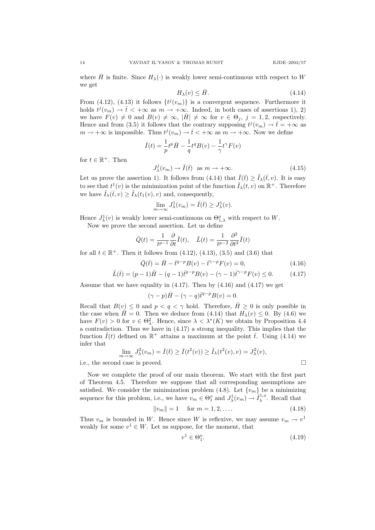where H is finite. Since  $H_{\lambda}(\cdot)$  is weakly lower semi-continuous with respect to W we get

$$
H_{\lambda}(v) \leq \bar{H}.\tag{4.14}
$$

From (4.12), (4.13) it follows  $\{t^j(v_m)\}\$ is a convergent sequence. Furthermore it holds  $t^j(v_m) \to \overline{t} < +\infty$  as  $m \to +\infty$ . Indeed, in both cases of assertions 1), 2) we have  $F(v) \neq 0$  and  $B(v) \neq \infty$ ,  $|\bar{H}| \neq \infty$  for  $v \in \Theta_j$ ,  $j = 1, 2$ , respectively. Hence and from (3.5) it follows that the contrary supposing  $t^j(v_m) \to \bar{t} = +\infty$  as  $m \to +\infty$  is impossible. Thus  $t^j(v_m) \to \bar{t} < +\infty$  as  $m \to +\infty$ . Now we define

$$
\bar{I}(t) = \frac{1}{p}t^p \bar{H} - \frac{1}{q}t^q B(v) - \frac{1}{\gamma}t^{\gamma} F(v)
$$
  

$$
J_{\lambda}^j(v_m) \to \bar{I}(\bar{t}) \text{ as } m \to +\infty.
$$
 (4.15)

for  $t \in \mathbb{R}^+$ . Then

Let us prove the assertion 1). It follows from (4.14) that  $\bar{I}(\bar{t}) \geq \tilde{I}_{\lambda}(\bar{t}, v)$ . It is easy to see that  $t^1(v)$  is the minimization point of the function  $\tilde{I}_{\lambda}(t, v)$  on  $\mathbb{R}^+$ . Therefore we have  $I_{\lambda}(\bar{t}, v) \geq I_{\lambda}(t_1(v), v)$  and, consequently,

$$
\lim_{m \to \infty} J^1_{\lambda}(v_m) = \overline{I}(\overline{t}) \ge J^1_{\lambda}(v).
$$

Hence  $J^1_\lambda(v)$  is weakly lower semi-continuous on  $\Theta_{1,\lambda}^o$  with respect to W.

Now we prove the second assertion. Let us define

$$
\bar{Q}(t) = \frac{1}{t^{p-1}} \frac{\partial}{\partial t} \bar{I}(t), \quad \bar{L}(t) = \frac{1}{t^{p-2}} \frac{\partial^2}{\partial t^2} \bar{I}(t)
$$

for all  $t \in \mathbb{R}^+$ . Then it follows from  $(4.12)$ ,  $(4.13)$ ,  $(3.5)$  and  $(3.6)$  that

$$
\bar{Q}(\bar{t}) = \bar{H} - \bar{t}^{q-p} B(v) - \bar{t}^{\gamma-p} F(v) = 0,
$$
\n(4.16)  
\n
$$
\bar{L}(\bar{t}) = (p-1)\bar{H} - (q-1)\bar{t}^{q-p} B(v) - (\gamma - 1)\bar{t}^{\gamma-p} F(v) \le 0.
$$
\n(4.17)

Assume that we have equality in  $(4.17)$ . Then by  $(4.16)$  and  $(4.17)$  we get

$$
(\gamma - p)\bar{H} - (\gamma - q)\bar{t}^{q-p}B(v) = 0.
$$

Recall that  $B(v) \leq 0$  and  $p < q < \gamma$  hold. Therefore,  $\overline{H} \geq 0$  is only possible in the case when  $H = 0$ . Then we deduce from (4.14) that  $H_{\lambda}(v) \leq 0$ . By (4.6) we have  $F(v) > 0$  for  $v \in \Theta_{\lambda}^2$ . Hence, since  $\lambda < \lambda^*(K)$  we obtain by Proposition 4.4 a contradiction. Thus we have in (4.17) a strong inequality. This implies that the function  $\bar{I}(t)$  defined on  $\mathbb{R}^+$  attains a maximum at the point  $\bar{t}$ . Using (4.14) we infer that

$$
\lim_{m \to \infty} J_{\lambda}^2(v_m) = \overline{I}(\overline{t}) \ge \overline{I}(t^2(v)) \ge \widetilde{I}_{\lambda}(t^2(v), v) = J_{\lambda}^2(v),
$$

i.e., the second case is proved.

Now we complete the proof of our main theorem. We start with the first part of Theorem 4.5. Therefore we suppose that all corresponding assumptions are satisfied. We consider the minimization problem (4.8). Let  $\{v_m\}$  be a minimizing sequence for this problem, i.e., we have  $v_m \in \Theta_1^o$  and  $J^1_\lambda(v_m) \to \hat{I}^{1,o}_\lambda$ . Recall that

$$
||v_m|| = 1 \quad \text{for } m = 1, 2, \dots \tag{4.18}
$$

Thus  $v_m$  is bounded in W. Hence since W is reflexive, we may assume  $v_m \to v^1$ weakly for some  $v^1 \in W$ . Let us suppose, for the moment, that

$$
v^1 \in \Theta_1^o. \tag{4.19}
$$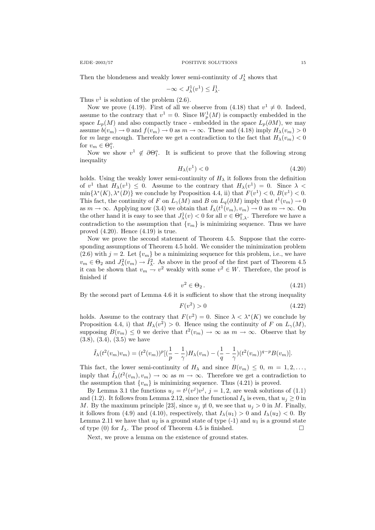Then the blondeness and weakly lower semi-continuity of  $J^1_\lambda$  shows that

$$
-\infty < J^1_\lambda(v^1) \leq \hat{I}^1_\lambda.
$$

Thus  $v^1$  is solution of the problem  $(2.6)$ .

Now we prove (4.19). First of all we observe from (4.18) that  $v^1 \neq 0$ . Indeed, assume to the contrary that  $v^1 = 0$ . Since  $W_p^1(M)$  is compactly embedded in the space  $L_p(M)$  and also compactly trace - embedded in the space  $L_p(\partial M)$ , we may assume  $b(v_m) \to 0$  and  $f(v_m) \to 0$  as  $m \to \infty$ . These and (4.18) imply  $H_{\lambda}(v_m) > 0$ for m large enough. Therefore we get a contradiction to the fact that  $H_{\lambda}(v_m) < 0$ for  $v_m \in \Theta_1^o$ .

Now we show  $v^1 \notin \partial \Theta_1^o$ . It is sufficient to prove that the following strong inequality

$$
H_{\lambda}(v^1) < 0 \tag{4.20}
$$

holds. Using the weakly lower semi-continuity of  $H<sub>\lambda</sub>$  it follows from the definition of  $v^1$  that  $H_\lambda(v^1) \leq 0$ . Assume to the contrary that  $H_\lambda(v^1) = 0$ . Since  $\lambda$  <  $\min\{\lambda^*(K), \lambda^*(D)\}\$ we conclude by Proposition 4.4, ii) that  $F(v^1) < 0$ ,  $B(v^1) < 0$ . This fact, the continuity of F on  $L_{\gamma}(M)$  and B on  $L_q(\partial M)$  imply that  $t^1(v_m) \to 0$ as  $m \to \infty$ . Applying now (3.4) we obtain that  $\bar{I}_{\lambda}(t^1(v_m), v_m) \to 0$  as  $m \to \infty$ . On the other hand it is easy to see that  $J^1_\lambda(v) < 0$  for all  $v \in \Theta_{1,\lambda}^o$ . Therefore we have a contradiction to the assumption that  ${v_m}$  is minimizing sequence. Thus we have proved  $(4.20)$ . Hence  $(4.19)$  is true.

Now we prove the second statement of Theorem 4.5. Suppose that the corresponding assumptions of Theorem 4.5 hold. We consider the minimization problem (2.6) with  $j = 2$ . Let  $\{v_m\}$  be a minimizing sequence for this problem, i.e., we have  $v_m \in \Theta_2$  and  $J^2_{\lambda}(v_m) \to \hat{I}^2_{\lambda}$ . As above in the proof of the first part of Theorem 4.5 it can be shown that  $v_m \to v^2$  weakly with some  $v^2 \in W$ . Therefore, the proof is finished if

$$
v^2 \in \Theta_2. \tag{4.21}
$$

By the second part of Lemma 4.6 it is sufficient to show that the strong inequality

$$
F(v^2) > 0 \tag{4.22}
$$

holds. Assume to the contrary that  $F(v^2) = 0$ . Since  $\lambda < \lambda^*(K)$  we conclude by Proposition 4.4, i) that  $H_{\lambda}(v^2) > 0$ . Hence using the continuity of F on  $L_{\gamma}(M)$ , supposing  $B(v_m) \leq 0$  we derive that  $t^2(v_m) \to \infty$  as  $m \to \infty$ . Observe that by  $(3.8), (3.4), (3.5)$  we have

$$
\tilde{I}_{\lambda}(t^2(v_m)v_m) = (t^2(v_m))^p[(\frac{1}{p} - \frac{1}{\gamma})H_{\lambda}(v_m) - (\frac{1}{q} - \frac{1}{\gamma})(t^2(v_m))^{q-p}B(v_m)].
$$

This fact, the lower semi-continuity of  $H_{\lambda}$  and since  $B(v_m) \leq 0, m = 1, 2, \ldots$ , imply that  $\tilde{I}_{\lambda}(t^2(v_m), v_m) \to \infty$  as  $m \to \infty$ . Therefore we get a contradiction to the assumption that  $\{v_m\}$  is minimizing sequence. Thus (4.21) is proved.

By Lemma 3.1 the functions  $u_j = t^j(v^j)v^j$ ,  $j = 1, 2$ , are weak solutions of (1.1) and (1.2). It follows from Lemma 2.12, since the functional  $I_{\lambda}$  is even, that  $u_j \geq 0$  in M. By the maximum principle [23], since  $u_j \neq 0$ , we see that  $u_j > 0$  in M. Finally, it follows from (4.9) and (4.10), respectively, that  $I_{\lambda}(u_1) > 0$  and  $I_{\lambda}(u_2) < 0$ . By Lemma 2.11 we have that  $u_2$  is a ground state of type  $(-1)$  and  $u_1$  is a ground state of type (0) for  $I_{\lambda}$ . The proof of Theorem 4.5 is finished.

Next, we prove a lemma on the existence of ground states.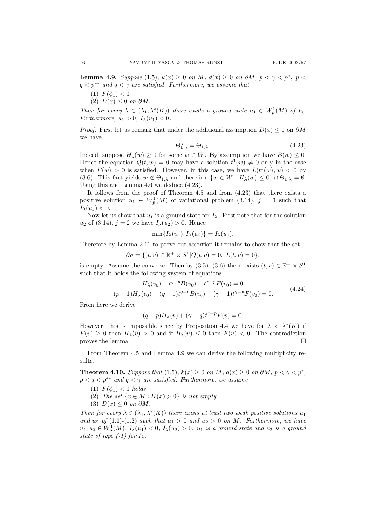**Lemma 4.9.** Suppose (1.5),  $k(x) \ge 0$  on M,  $d(x) \ge 0$  on  $\partial M$ ,  $p < \gamma < p^*$ ,  $p <$  $q < p^{**}$  and  $q < \gamma$  are satisfied. Furthermore, we assume that

- (1)  $F(\phi_1) < 0$
- (2)  $D(x) \leq 0$  on  $\partial M$ .

Then for every  $\lambda \in (\lambda_1, \lambda^*(K))$  there exists a ground state  $u_1 \in W_p^1(M)$  of  $I_\lambda$ . Furthermore,  $u_1 > 0$ ,  $I_\lambda(u_1) < 0$ .

*Proof.* First let us remark that under the additional assumption  $D(x) \leq 0$  on  $\partial M$ we have

$$
\Theta_{1,\lambda}^o = \Theta_{1,\lambda}.\tag{4.23}
$$

Indeed, suppose  $H_{\lambda}(w) \geq 0$  for some  $w \in W$ . By assumption we have  $B(w) \leq 0$ . Hence the equation  $Q(t, w) = 0$  may have a solution  $t^1(w) \neq 0$  only in the case when  $F(w) > 0$  is satisfied. However, in this case, we have  $L(t^1(w), w) < 0$  by (3.6). This fact yields  $w \notin \Theta_{1,\lambda}$  and therefore  $\{w \in W : H_{\lambda}(w) \leq 0\} \cap \Theta_{1,\lambda} = \emptyset$ . Using this and Lemma 4.6 we deduce (4.23).

It follows from the proof of Theorem 4.5 and from (4.23) that there exists a positive solution  $u_1 \in W_p^1(M)$  of variational problem (3.14),  $j = 1$  such that  $I_{\lambda}(u_1) < 0.$ 

Now let us show that  $u_1$  is a ground state for  $I_\lambda$ . First note that for the solution  $u_2$  of (3.14),  $j = 2$  we have  $I_{\lambda}(u_2) > 0$ . Hence

$$
\min\{I_{\lambda}(u_1), I_{\lambda}(u_2)\} = I_{\lambda}(u_1).
$$

Therefore by Lemma 2.11 to prove our assertion it remains to show that the set

$$
\partial \sigma = \{ (t, v) \in \mathbb{R}^+ \times S^1 | Q(t, v) = 0, L(t, v) = 0 \},
$$

is empty. Assume the converse. Then by (3.5), (3.6) there exists  $(t, v) \in \mathbb{R}^+ \times S^1$ such that it holds the following system of equations

$$
H_{\lambda}(v_0) - t^{q-p} B(v_0) - t^{\gamma - p} F(v_0) = 0,
$$
  
(p-1)  $H_{\lambda}(v_0) - (q-1)t^{q-p} B(v_0) - (\gamma - 1)t^{\gamma - p} F(v_0) = 0.$  (4.24)

From here we derive

$$
(q-p)H_{\lambda}(v) + (\gamma - q)t^{\gamma - p}F(v) = 0.
$$

However, this is impossible since by Proposition 4.4 we have for  $\lambda < \lambda^*(K)$  if  $F(v) \geq 0$  then  $H_{\lambda}(v) > 0$  and if  $H_{\lambda}(u) \leq 0$  then  $F(u) < 0$ . The contradiction proves the lemma.  $\Box$ 

From Theorem 4.5 and Lemma 4.9 we can derive the following multiplicity results.

**Theorem 4.10.** Suppose that (1.5),  $k(x) \ge 0$  on M,  $d(x) \ge 0$  on  $\partial M$ ,  $p < \gamma < p^*$ ,  $p < q < p^{**}$  and  $q < \gamma$  are satisfied. Furthermore, we assume

- (1)  $F(\phi_1) < 0$  holds
- (2) The set  $\{x \in M : K(x) > 0\}$  is not empty
- (3)  $D(x) \leq 0$  on  $\partial M$ .

Then for every  $\lambda \in (\lambda_1, \lambda^*(K))$  there exists at least two weak positive solutions  $u_1$ and  $u_2$  of (1.1)-(1.2) such that  $u_1 > 0$  and  $u_2 > 0$  on M. Furthermore, we have  $u_1, u_2 \in W_p^1(M)$ ,  $I_\lambda(u_1) < 0$ ,  $I_\lambda(u_2) > 0$ .  $u_1$  is a ground state and  $u_2$  is a ground state of type  $(-1)$  for  $I_{\lambda}$ .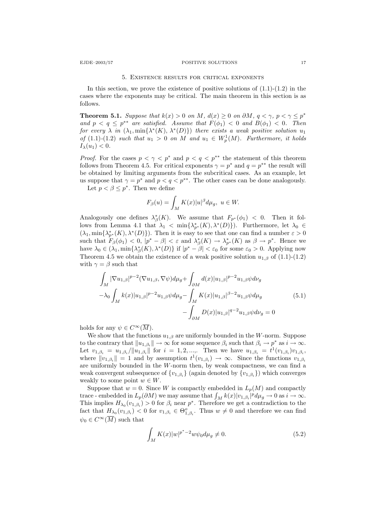## EJDE–2003/57 POSITIVE SOLUTIONS 17

#### 5. Existence results for critical exponents

In this section, we prove the existence of positive solutions of  $(1.1)-(1.2)$  in the cases where the exponents may be critical. The main theorem in this section is as follows.

**Theorem 5.1.** Suppose that  $k(x) > 0$  on M,  $d(x) \ge 0$  on  $\partial M$ ,  $q < \gamma$ ,  $p < \gamma \le p^*$ and  $p < q \leq p^{**}$  are satisfied. Assume that  $F(\phi_1) < 0$  and  $B(\phi_1) < 0$ . Then for every  $\lambda$  in  $(\lambda_1, \min{\{\lambda^*(K), \lambda^*(D)\}})$  there exists a weak positive solution  $u_1$ of  $(1.1)-(1.2)$  such that  $u_1 > 0$  on M and  $u_1 \in W_p^1(M)$ . Furthermore, it holds  $I_{\lambda}(u_1) < 0.$ 

*Proof.* For the cases  $p < \gamma < p^*$  and  $p < q < p^{**}$  the statement of this theorem follows from Theorem 4.5. For critical exponents  $\gamma = p^*$  and  $q = p^{**}$  the result will be obtained by limiting arguments from the subcritical cases. As an example, let us suppose that  $\gamma = p^*$  and  $p < q < p^{**}$ . The other cases can be done analogously.

Let  $p < \beta \leq p^*$ . Then we define

$$
F_{\beta}(u) = \int_M K(x)|u|^{\beta} d\mu_g, \ u \in W.
$$

Analogously one defines  $\lambda_{\beta}^*(K)$ . We assume that  $F_{p^*}(\phi_1) < 0$ . Then it follows from Lemma 4.1 that  $\lambda_1 < \min\{\lambda_{p^*}^*(K), \lambda^*(D)\}\)$ . Furthermore, let  $\lambda_0 \in$  $(\lambda_1, \min{\lambda_{p^*}^*(K)}, \lambda^*(D))$ . Then it is easy to see that one can find a number  $\varepsilon > 0$ such that  $F_{\beta}(\phi_1) < 0$ ,  $|p^* - \beta| < \varepsilon$  and  $\lambda_{\beta}^*(K) \to \lambda_{p^*}^*(K)$  as  $\beta \to p^*$ . Hence we have  $\lambda_0 \in (\lambda_1, \min{\{\lambda^*_{\beta}(K), \lambda^*(D)\}}$  if  $|p^* - \beta| < \varepsilon_0$  for some  $\varepsilon_0 > 0$ . Applying now Theorem 4.5 we obtain the existence of a weak positive solution  $u_{1,\beta}$  of (1.1)-(1.2) with  $\gamma = \beta$  such that

$$
\int_{M} |\nabla u_{1,\beta}|^{p-2} (\nabla u_{1,\beta}, \nabla \psi) d\mu_{g} + \int_{\partial M} d(x) |u_{1,\beta}|^{p-2} u_{1,\beta} \psi d\nu_{g}
$$
\n
$$
-\lambda_{0} \int_{M} k(x) |u_{1,\beta}|^{p-2} u_{1,\beta} \psi d\mu_{g} - \int_{M} K(x) |u_{1,\beta}|^{\beta-2} u_{1,\beta} \psi d\mu_{g}
$$
\n
$$
- \int_{\partial M} D(x) |u_{1,\beta}|^{q-2} u_{1,\beta} \psi d\nu_{g} = 0
$$
\n(5.1)

holds for any  $\psi \in C^{\infty}(\overline{M}).$ 

We show that the functions  $u_{1,\beta}$  are uniformly bounded in the W-norm. Suppose to the contrary that  $||u_{1,\beta_i}|| \to \infty$  for some sequence  $\beta_i$  such that  $\beta_i \to p^*$  as  $i \to \infty$ . Let  $v_{1,\beta_i} = u_{1,\beta_i}/\|u_{1,\beta_i}\|$  for  $i = 1, 2, ...,$  Then we have  $u_{1,\beta_i} = t^1(v_{1,\beta_i})v_{1,\beta_i}$ , where  $||v_{1,\beta_i}|| = 1$  and by assumption  $t^1(v_{1,\beta_i}) \to \infty$ . Since the functions  $v_{1,\beta_i}$ are uniformly bounded in the  $W$ -norm then, by weak compactness, we can find a weak convergent subsequence of  ${v_{1,\beta_i}}$  (again denoted by  ${v_{1,\beta_i}}$ ) which converges weakly to some point  $w \in W$ .

Suppose that  $w = 0$ . Since W is compactly embedded in  $L_p(M)$  and compactly trace - embedded in  $L_p(\partial M)$  we may assume that  $\int_M k(x)|v_{1,\beta_i}|^p d\mu_g \to 0$  as  $i \to \infty$ . This implies  $H_{\lambda_0}(v_{1,\beta_i})>0$  for  $\beta_i$  near  $p^*$ . Therefore we get a contradiction to the fact that  $H_{\lambda_0}(v_{1,\beta_i}) < 0$  for  $v_{1,\beta_i} \in \Theta_{1,\beta_i}^o$ . Thus  $w \neq 0$  and therefore we can find  $\psi_0 \in C^{\infty}(\overline{M})$  such that

$$
\int_{M} K(x)|w|^{p^*-2}w\psi_0 d\mu_g \neq 0.
$$
\n(5.2)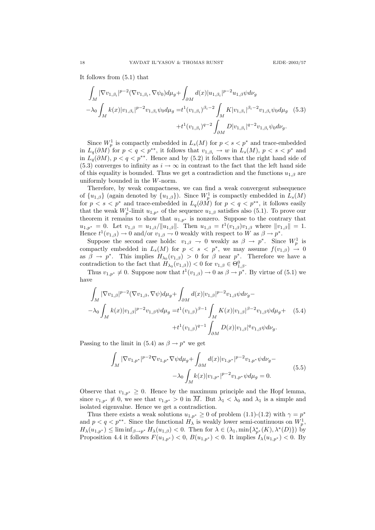It follows from (5.1) that

$$
\int_{M} |\nabla v_{1,\beta_i}|^{p-2} (\nabla v_{1,\beta_i}, \nabla \psi_0) d\mu_g + \int_{\partial M} d(x) |u_{1,\beta_i}|^{p-2} u_{1,\beta} \psi d\nu_g
$$
\n
$$
-\lambda_0 \int_M k(x) |v_{1,\beta_i}|^{p-2} v_{1,\beta_i} \psi_0 d\mu_g = t^1 (v_{1,\beta_i})^{\beta_i - 2} \int_M K |v_{1,\beta_i}|^{\beta_i - 2} v_{1,\beta_i} \psi_0 d\mu_g \quad (5.3)
$$
\n
$$
+ t^1 (v_{1,\beta_i})^{q-2} \int_{\partial M} D |v_{1,\beta_i}|^{q-2} v_{1,\beta_i} \psi_0 d\nu_g.
$$

Since  $W_p^1$  is compactly embedded in  $L_s(M)$  for  $p < s < p^*$  and trace-embedded in  $L_q(\partial M)$  for  $p < q < p^{**}$ , it follows that  $v_{1,\beta_i} \to w$  in  $L_s(M)$ ,  $p < s < p^*$  and in  $L_q(\partial M)$ ,  $p < q < p^{**}$ . Hence and by (5.2) it follows that the right hand side of (5.3) converges to infinity as  $i \to \infty$  in contrast to the fact that the left hand side of this equality is bounded. Thus we get a contradiction and the functions  $u_{1,\beta}$  are uniformly bounded in the W-norm.

Therefore, by weak compactness, we can find a weak convergent subsequence of  $\{u_{1,\beta}\}\$  (again denoted by  $\{u_{1,\beta}\}\)$ . Since  $W_p^1$  is compactly embedded in  $L_s(M)$ for  $p < s < p^*$  and trace-embedded in  $L_q(\partial M)$  for  $p < q < p^{**}$ , it follows easily that the weak  $W_p^1$ -limit  $u_{1,p^*}$  of the sequence  $u_{1,\beta}$  satisfies also (5.1). To prove our theorem it remains to show that  $u_{1,p^*}$  is nonzero. Suppose to the contrary that  $u_{1,p^*} = 0$ . Let  $v_{1,\beta} = u_{1,\beta}/||u_{1,\beta}||$ . Then  $u_{1,\beta} = t^1(v_{1,\beta})v_{1,\beta}$  where  $||v_{1,\beta}|| = 1$ . Hence  $t^1(v_{1,\beta}) \to 0$  and/or  $v_{1,\beta} \to 0$  weakly with respect to W as  $\beta \to p^*$ .

Suppose the second case holds:  $v_{1,\beta} \to 0$  weakly as  $\beta \to p^*$ . Since  $W_p^1$  is compactly embedded in  $L_s(M)$  for  $p \leq s \leq p^*$ , we may assume  $f(v_{1,\beta}) \to 0$ as  $\beta \to p^*$ . This implies  $H_{\lambda_0}(v_{1,\beta}) > 0$  for  $\beta$  near  $p^*$ . Therefore we have a contradiction to the fact that  $H_{\lambda_0}(v_{1,\beta})$   $< 0$  for  $v_{1,\beta} \in \Theta_{1,\beta}^0$ .

Thus  $v_{1,p^*} \neq 0$ . Suppose now that  $t^1(v_{1,\beta}) \to 0$  as  $\beta \to p^*$ . By virtue of (5.1) we have

$$
\int_{M} |\nabla v_{1,\beta}|^{p-2} (\nabla v_{1,\beta}, \nabla \psi) d\mu_{g} + \int_{\partial M} d(x) |v_{1,\beta}|^{p-2} v_{1,\beta} \psi d\nu_{g} - \lambda_{0} \int_{M} k(x) |v_{1,\beta}|^{p-2} v_{1,\beta} \psi d\mu_{g} = t^{1} (v_{1,\beta})^{\beta - 1} \int_{M} K(x) |v_{1,\beta}|^{\beta - 2} v_{1,\beta} \psi d\mu_{g} + (5.4) + t^{1} (v_{1,\beta})^{q-1} \int_{\partial M} D(x) |v_{1,\beta}|^{q} v_{1,\beta} \psi d\nu_{g}.
$$

Passing to the limit in (5.4) as  $\beta \to p^*$  we get

$$
\int_{M} |\nabla v_{1,p^*}|^{p-2} \nabla v_{1,p^*} \nabla \psi d\mu_{g} + \int_{\partial M} d(x) |v_{1,p^*}|^{p-2} v_{1,p^*} \psi d\nu_{g} - \lambda_0 \int_{M} k(x) |v_{1,p^*}|^{p-2} v_{1,p^*} \psi d\mu_{g} = 0.
$$
\n(5.5)

Observe that  $v_{1,p^*} \geq 0$ . Hence by the maximum principle and the Hopf lemma, since  $v_{1,p^*} \neq 0$ , we see that  $v_{1,p^*} > 0$  in  $\overline{M}$ . But  $\lambda_1 < \lambda_0$  and  $\lambda_1$  is a simple and isolated eigenvalue. Hence we get a contradiction.

Thus there exists a weak solutions  $u_{1,p^*} \geq 0$  of problem  $(1.1)-(1.2)$  with  $\gamma = p^*$ and  $p < q < p^{**}$ . Since the functional  $H_{\lambda}$  is weakly lower semi-continuous on  $W_p^1$ ,  $H_{\lambda}(u_{1,p^*}) \leq \liminf_{\beta \to p^*} H_{\lambda}(u_{1,\beta}) < 0$ . Then for  $\lambda \in (\lambda_1, \min{\{\lambda_{p^*}^*(K), \lambda^*(D)\}})$  by Proposition 4.4 it follows  $F(u_{1,p^*}) < 0$ ,  $B(u_{1,p^*}) < 0$ . It implies  $I_\lambda(u_{1,p^*}) < 0$ . By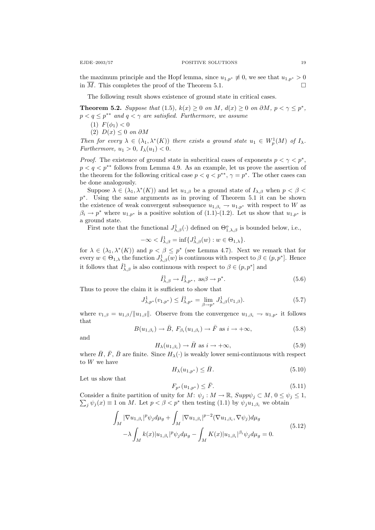the maximum principle and the Hopf lemma, since  $u_{1,p*} \neq 0$ , we see that  $u_{1,p*} > 0$ in  $\overline{M}$ . This completes the proof of the Theorem 5.1.

The following result shows existence of ground state in critical cases.

**Theorem 5.2.** Suppose that (1.5),  $k(x) \ge 0$  on M,  $d(x) \ge 0$  on  $\partial M$ ,  $p < \gamma \le p^*$ ,  $p < q \leq p^{**}$  and  $q < \gamma$  are satisfied. Furthermore, we assume

$$
(1) F(\phi_1) < 0
$$

(2)  $D(x) \leq 0$  on  $\partial M$ 

Then for every  $\lambda \in (\lambda_1, \lambda^*(K))$  there exists a ground state  $u_1 \in W_p^1(M)$  of  $I_\lambda$ . Furthermore,  $u_1 > 0$ ,  $I_\lambda(u_1) < 0$ .

*Proof.* The existence of ground state in subcritical cases of exponents  $p < \gamma < p^*$ ,  $p < q < p^{**}$  follows from Lemma 4.9. As an example, let us prove the assertion of the theorem for the following critical case  $p < q < p^{**}, \gamma = p^*$ . The other cases can be done analogously.

Suppose  $\lambda \in (\lambda_1, \lambda^*(K))$  and let  $u_{1,\beta}$  be a ground state of  $I_{\lambda,\beta}$  when  $p < \beta <$ p<sup>\*</sup>. Using the same arguments as in proving of Theorem 5.1 it can be shown the existence of weak convergent subsequence  $u_{1,\beta_i} \to u_{1,p^*}$  with respect to W as  $\beta_i \to p^*$  where  $u_{1,p^*}$  is a positive solution of (1.1)-(1.2). Let us show that  $u_{1,p^*}$  is a ground state.

First note that the functional  $J^1_{\lambda,\beta}(\cdot)$  defined on  $\Theta_{1,\lambda,\beta}^o$  is bounded below, i.e.,

$$
-\infty < \hat{I}_{\lambda,\beta}^1 = \inf \{ J_{\lambda,\beta}^1(w) : w \in \Theta_{1,\lambda} \}.
$$

for  $\lambda \in (\lambda_1, \lambda^*(K))$  and  $p < \beta \leq p^*$  (see Lemma 4.7). Next we remark that for every  $w \in \Theta_{1,\lambda}$  the function  $J^1_{\lambda,\beta}(w)$  is continuous with respect to  $\beta \in (p, p^*]$ . Hence it follows that  $\hat{I}^1_{\lambda,\beta}$  is also continuous with respect to  $\beta \in (p,p^*]$  and

$$
\hat{I}^1_{\lambda,\beta} \to \hat{I}^1_{\lambda,p^*}, \text{ as } \beta \to p^*. \tag{5.6}
$$

Thus to prove the claim it is sufficient to show that

$$
J^1_{\lambda,p^*}(v_{1,p^*}) \leq \hat{I}^1_{\lambda,p^*} = \lim_{\beta \to p^*} J^1_{\lambda,\beta}(v_{1,\beta}). \tag{5.7}
$$

where  $v_{1,\beta} = u_{1,\beta}/||u_{1,\beta}||$ . Observe from the convergence  $u_{1,\beta_i} \to u_{1,p^*}$  it follows that

$$
B(u_{1,\beta_i}) \to \bar{B}, \ F_{\beta_i}(u_{1,\beta_i}) \to \bar{F} \text{ as } i \to +\infty,
$$
\n
$$
(5.8)
$$

and

$$
H_{\lambda}(u_{1,\beta_i}) \to \bar{H} \text{ as } i \to +\infty,
$$
\n(5.9)

where  $\bar{H}$ ,  $\bar{F}$ ,  $\bar{B}$  are finite. Since  $H_{\lambda}(\cdot)$  is weakly lower semi-continuous with respect to W we have

$$
H_{\lambda}(u_{1,p^*}) \leq \bar{H}.\tag{5.10}
$$

Let us show that

$$
F_{p^*}(u_{1,p^*}) \le \bar{F}.\tag{5.11}
$$

 $\sum_j \psi_j(x) \equiv 1$  on M. Let  $p < \beta < p^*$  then testing (1.1) by  $\psi_j u_{1,\beta_i}$  we obtain Consider a finite partition of unity for  $M: \psi_j: M \to \mathbb{R}$ ,  $Supp\psi_j \subset M$ ,  $0 \le \psi_j \le 1$ ,

$$
\int_{M} |\nabla u_{1,\beta_{i}}|^{p} \psi_{j} d\mu_{g} + \int_{M} |\nabla u_{1,\beta_{i}}|^{p-2} (\nabla u_{1,\beta_{i}}, \nabla \psi_{j}) d\mu_{g} \n- \lambda \int_{M} k(x) |u_{1,\beta_{i}}|^{p} \psi_{j} d\mu_{g} - \int_{M} K(x) |u_{1,\beta_{i}}|^{\beta_{i}} \psi_{j} d\mu_{g} = 0.
$$
\n(5.12)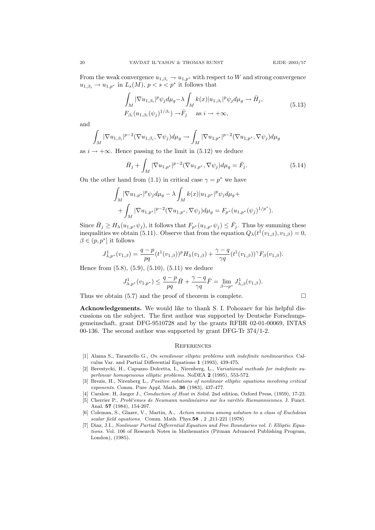From the weak convergence  $u_{1,\beta_i} \to u_{1,p^*}$  with respect to W and strong convergence  $u_{1,\beta_i} \to u_{1,p^*}$  in  $L_s(M)$ ,  $p < s < p^*$  it follows that

$$
\int_{M} |\nabla u_{1,\beta_i}|^p \psi_j d\mu_g - \lambda \int_{M} k(x) |u_{1,\beta_i}|^p \psi_j d\mu_g \to \bar{H}_j,
$$
\n
$$
F_{\beta_i} (u_{1,\beta_i} (\psi_j)^{1/\beta_i}) \to \bar{F}_j \quad \text{as } i \to +\infty,
$$
\n(5.13)

and

$$
\int_M |\nabla u_{1,\beta_i}|^{p-2} (\nabla u_{1,\beta_i}, \nabla \psi_j) d\mu_g \to \int_M |\nabla u_{1,p^*}|^{p-2} (\nabla u_{1,p^*}, \nabla \psi_j) d\mu_g
$$

as  $i \rightarrow +\infty$ . Hence passing to the limit in (5.12) we deduce

$$
\bar{H}_j + \int_M |\nabla u_{1,p^*}|^{p-2} (\nabla u_{1,p^*}, \nabla \psi_j) d\mu_g = \bar{F}_j.
$$
\n(5.14)

On the other hand from (1.1) in critical case  $\gamma = p^*$  we have

$$
\int_{M} |\nabla u_{1,p^*}|^p \psi_j d\mu_g - \lambda \int_{M} k(x) |u_{1,p^*}|^p \psi_j d\mu_g + + \int_{M} |\nabla u_{1,p^*}|^{p-2} (\nabla u_{1,p^*}, \nabla \psi_j) d\mu_g = F_{p^*}(u_{1,p^*}(\psi_j)^{1/p^*}).
$$

Since  $\bar{H}_j \geq H_\lambda(u_{1,p^*}\psi_j)$ , it follows that  $F_{p^*}(u_{1,p^*}\psi_j) \leq \bar{F}_j$ . Thus by summing these inequalities we obtain (5.11). Observe that from the equation  $Q_{\lambda}(t^1(v_{1,\beta}), v_{1,\beta}) = 0$ ,  $\beta \in (p, p^*]$  it follows

$$
J^1_{\lambda,p^*}(v_{1,\beta}) = \frac{q-p}{pq} (t^1(v_{1,\beta}))^p H_\lambda(v_{1,\beta}) + \frac{\gamma-q}{\gamma q} (t^1(v_{1,\beta}))^\gamma F_\beta(v_{1,\beta}).
$$

Hence from (5.8), (5.9), (5.10), (5.11) we deduce

$$
J^1_{\lambda,p^*}(v_{1,p^*}) \leq \frac{q-p}{pq}\bar{H} + \frac{\gamma-q}{\gamma q}\bar{F} = \lim_{\beta \to p^*} J^1_{\lambda,\beta}(v_{1,\beta}).
$$

Thus we obtain  $(5.7)$  and the proof of theorem is complete.  $\Box$ 

Acknowledgements. We would like to thank S. I. Pohozaev for his helpful discussions on the subject. The first author was supported by Deutsche Forschungsgemeinschaft, grant DFG-9510728 and by the grants RFBR 02-01-00069, INTAS 00-136. The second author was supported by grant DFG-Tr 374/1-2.

#### **REFERENCES**

- [1] Alama S., Tarantello G., On semilinear elliptic problems with indefinite nonlinearities. Calculus Var. and Partial Differential Equations 1 (1993), 439-475.
- [2] Berestycki, H., Capuzzo–Dolcetta, I., Nirenberg, L., Variational methods for indefinite superlinear homogeneous elliptic problems. NoDEA 2 (1995), 553-572.
- [3] Brezis, H., Nirenberg L., Positive solutions of nonlinear elliptic equations involving critical exponents. Comm. Pure Appl. Math. 36 (1983), 437-477.
- [4] Carslow. H, Jaeger J., Conduction of Heat in Solid. 2nd edition, Oxford Press, (1959), 17-23.
- [5] Cherrier P., Probl'emes de Neumann nonlinéaires sur les varétés Riemanniennes. J. Funct. Anal. 57 (1984), 154-207.
- [6] Coleman, S., Glazer, V., Martin, A., Action minima among solution to a class of Euclidean scalar field equations. Comm. Math. Phys.58 , 2 ,211-221 (1978)
- [7] Diaz, J.I., Nonlinear Partial Differential Equation and Free Boundaries vol. I: Elliptic Equations. Vol. 106 of Research Notes in Mathematics (Pitman Advanced Publishing Program, London), (1985).